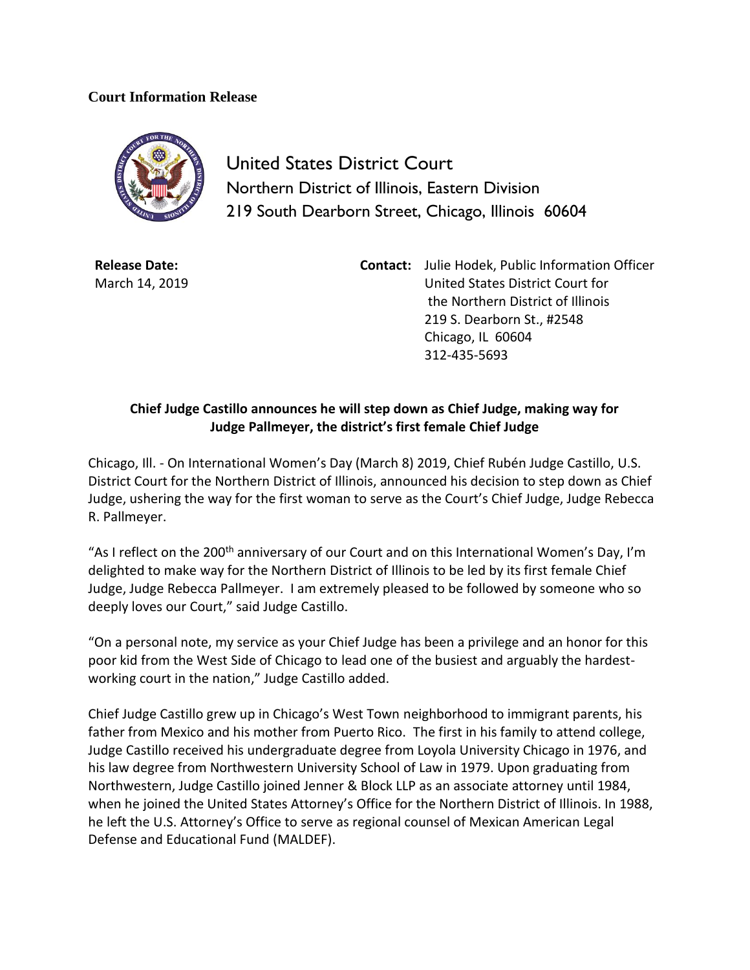## **Court Information Release**



United States District Court Northern District of Illinois, Eastern Division 219 South Dearborn Street, Chicago, Illinois 60604

**Release Date:** March 14, 2019 **Contact:** Julie Hodek, Public Information Officer United States District Court for the Northern District of Illinois 219 S. Dearborn St., #2548 Chicago, IL 60604 312-435-5693

## **Chief Judge Castillo announces he will step down as Chief Judge, making way for Judge Pallmeyer, the district's first female Chief Judge**

Chicago, Ill. - On International Women's Day (March 8) 2019, Chief Rubén Judge Castillo, U.S. District Court for the Northern District of Illinois, announced his decision to step down as Chief Judge, ushering the way for the first woman to serve as the Court's Chief Judge, Judge Rebecca R. Pallmeyer.

"As I reflect on the 200<sup>th</sup> anniversary of our Court and on this International Women's Day, I'm delighted to make way for the Northern District of Illinois to be led by its first female Chief Judge, Judge Rebecca Pallmeyer. I am extremely pleased to be followed by someone who so deeply loves our Court," said Judge Castillo.

"On a personal note, my service as your Chief Judge has been a privilege and an honor for this poor kid from the West Side of Chicago to lead one of the busiest and arguably the hardestworking court in the nation," Judge Castillo added.

Chief Judge Castillo grew up in Chicago's West Town neighborhood to immigrant parents, his father from Mexico and his mother from Puerto Rico. The first in his family to attend college, Judge Castillo received his undergraduate degree from Loyola University Chicago in 1976, and his law degree from Northwestern University School of Law in 1979. Upon graduating from Northwestern, Judge Castillo joined Jenner & Block LLP as an associate attorney until 1984, when he joined the United States Attorney's Office for the Northern District of Illinois. In 1988, he left the U.S. Attorney's Office to serve as regional counsel of Mexican American Legal Defense and Educational Fund (MALDEF).